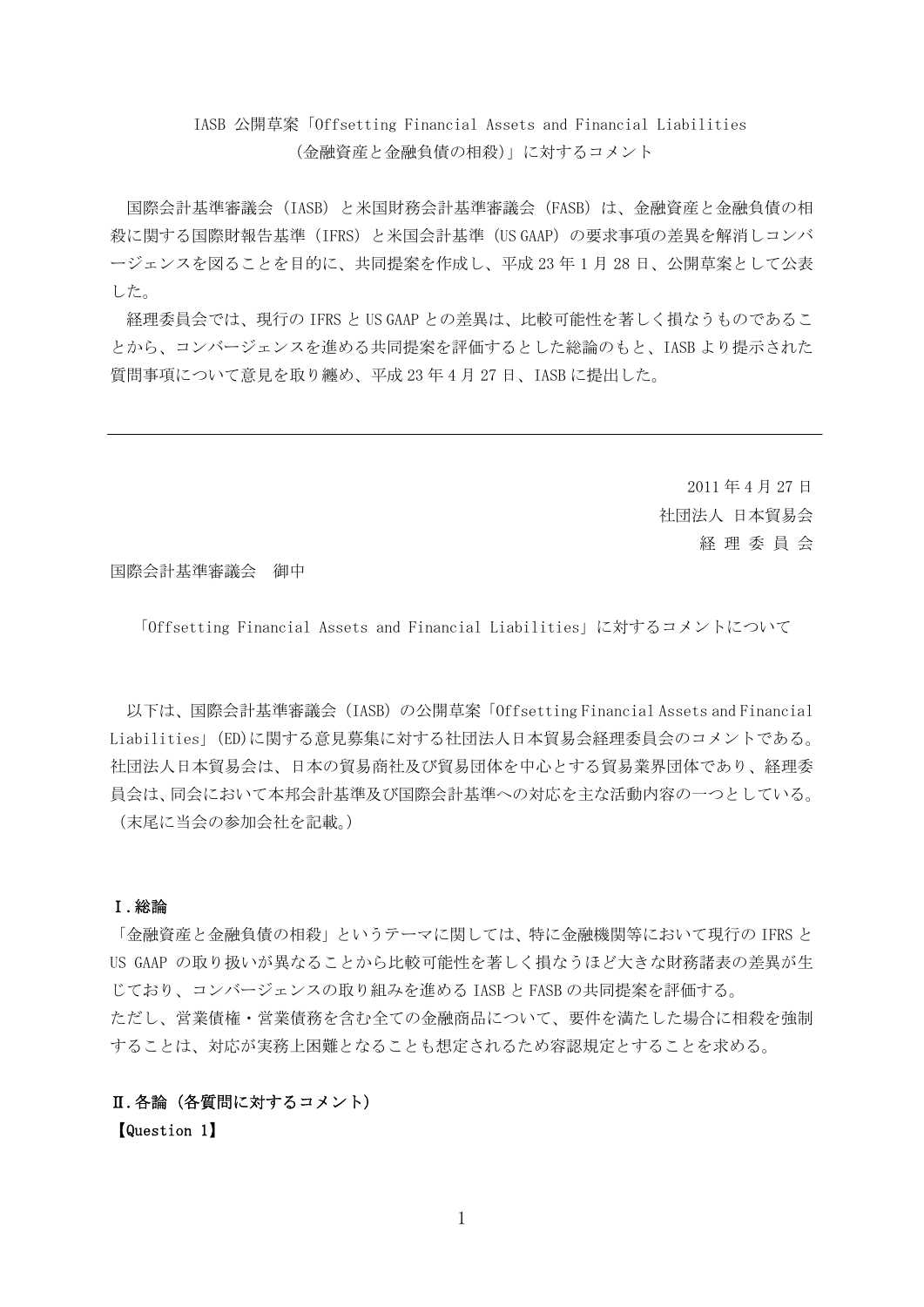# IASB 公開草案「Offsetting Financial Assets and Financial Liabilities (金融資産と金融負債の相殺)」に対するコメント

国際会計基準審議会(IASB)と米国財務会計基準審議会(FASB)は、金融資産と金融負債の相 殺に関する国際財報告基準(IFRS)と米国会計基準(US GAAP)の要求事項の差異を解消しコンバ ージェンスを図ることを目的に、共同提案を作成し、平成 23 年 1 月 28 日、公開草案として公表 した。

経理委員会では、現行の IFRS と US GAAP との差異は、比較可能性を著しく損なうものであるこ とから、コンバージェンスを進める共同提案を評価するとした総論のもと、IASB より提示された 質問事項について意見を取り纏め、平成 23 年 4 月 27 日、IASB に提出した。

> 2011 年 4 月 27 日 社団法人 日本貿易会 経 理 委 員 会

国際会計基準審議会 御中

「Offsetting Financial Assets and Financial Liabilities」に対するコメントについて

以下は、国際会計基準審議会 (IASB) の公開草案「Offsetting Financial Assets and Financial Liabilities」(ED)に関する意見募集に対する社団法人日本貿易会経理委員会のコメントである。 社団法人日本貿易会は、日本の貿易商社及び貿易団体を中心とする貿易業界団体であり、経理委 員会は、同会において本邦会計基準及び国際会計基準への対応を主な活動内容の一つとしている。 (末尾に当会の参加会社を記載。)

### Ⅰ.総論

「金融資産と金融負債の相殺」というテーマに関しては、特に金融機関等において現行の IFRS と US GAAP の取り扱いが異なることから比較可能性を著しく損なうほど大きな財務諸表の差異が生 じており、コンバージェンスの取り組みを進める IASB と FASB の共同提案を評価する。 ただし、営業債権・営業債務を含む全ての金融商品について、要件を満たした場合に相殺を強制 することは、対応が実務上困難となることも想定されるため容認規定とすることを求める。

## Ⅱ.各論(各質問に対するコメント)

【Question 1】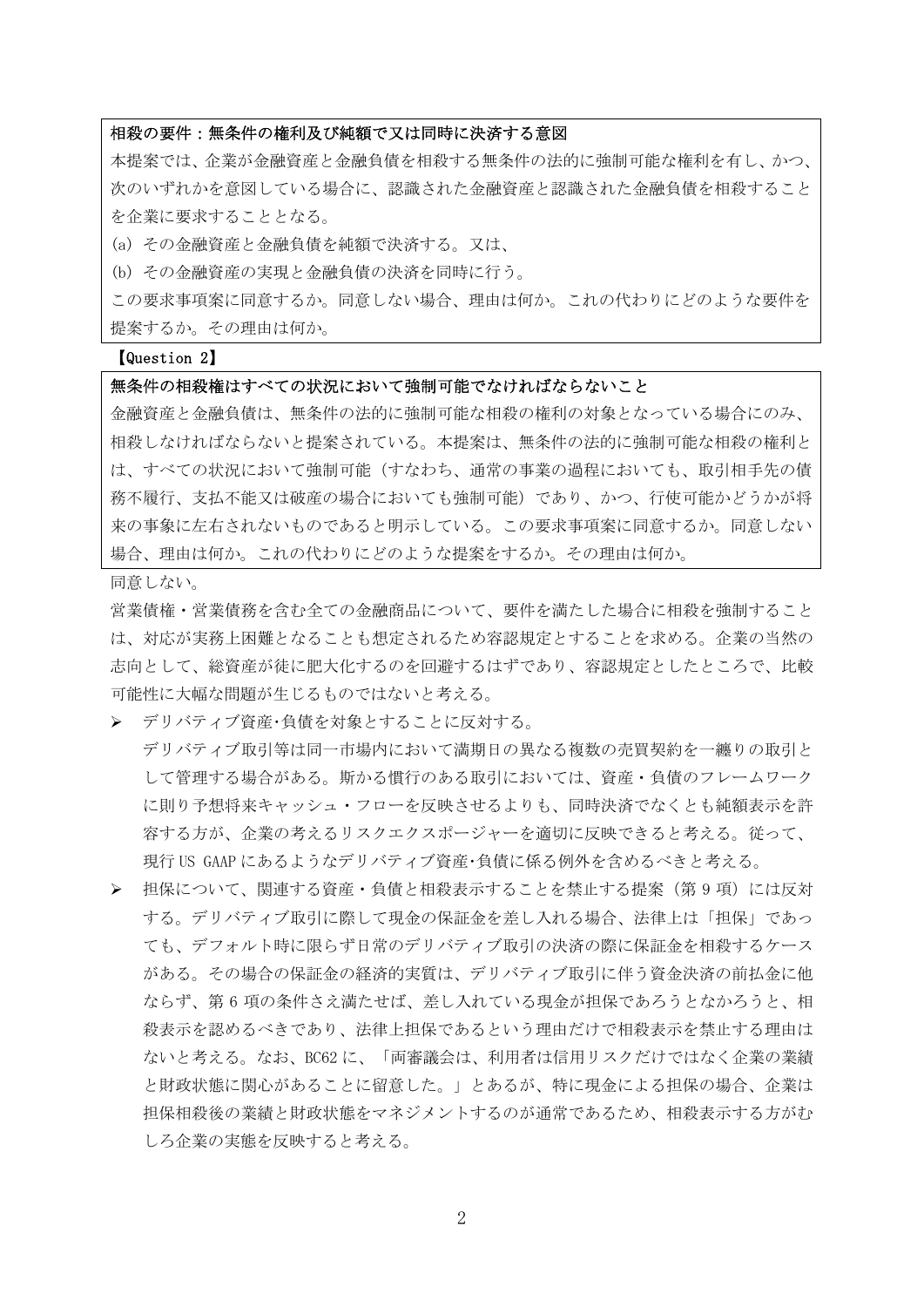### 相殺の要件:無条件の権利及び純額で又は同時に決済する意図

本提案では、企業が金融資産と金融負債を相殺する無条件の法的に強制可能な権利を有し、かつ、 次のいずれかを意図している場合に、認識された金融資産と認識された金融負債を相殺すること を企業に要求することとなる。

(a) その金融資産と金融負債を純額で決済する。又は、

(b) その金融資産の実現と金融負債の決済を同時に行う。

この要求事項案に同意するか。同意しない場合、理由は何か。これの代わりにどのような要件を 提案するか。その理由は何か。

#### 【Question 2】

### 無条件の相殺権はすべての状況において強制可能でなければならないこと

金融資産と金融負債は、無条件の法的に強制可能な相殺の権利の対象となっている場合にのみ、 相殺しなければならないと提案されている。本提案は、無条件の法的に強制可能な相殺の権利と は、すべての状況において強制可能(すなわち、通常の事業の過程においても、取引相手先の債 務不履行、支払不能又は破産の場合においても強制可能)であり、かつ、行使可能かどうかが将 来の事象に左右されないものであると明示している。この要求事項案に同意するか。同意しない 場合、理由は何か。これの代わりにどのような提案をするか。その理由は何か。

同意しない。

営業債権・営業債務を含む全ての金融商品について、要件を満たした場合に相殺を強制すること は、対応が実務上困難となることも想定されるため容認規定とすることを求める。企業の当然の 志向として、総資産が徒に肥大化するのを回避するはずであり、容認規定としたところで、比較 可能性に大幅な問題が生じるものではないと考える。

¾ デリバティブ資産・負債を対象とすることに反対する。

デリバティブ取引等は同一市場内において満期日の異なる複数の売買契約を一纏りの取引と して管理する場合がある。斯かる慣行のある取引においては、資産・負債のフレームワーク に則り予想将来キャッシュ・フローを反映させるよりも、同時決済でなくとも純額表示を許 容する方が、企業の考えるリスクエクスポージャーを適切に反映できると考える。従って、 現行 US GAAP にあるようなデリバティブ資産・負債に係る例外を含めるべきと考える。

▶ 担保について、関連する資産·負債と相殺表示することを禁止する提案(第9項)には反対 する。デリバティブ取引に際して現金の保証金を差し入れる場合、法律上は「担保」であっ ても、デフォルト時に限らず日常のデリバティブ取引の決済の際に保証金を相殺するケース がある。その場合の保証金の経済的実質は、デリバティブ取引に伴う資金決済の前払金に他 ならず、第 6 項の条件さえ満たせば、差し入れている現金が担保であろうとなかろうと、相 殺表示を認めるべきであり、法律上担保であるという理由だけで相殺表示を禁止する理由は ないと考える。なお、BC62 に、「両審議会は、利用者は信用リスクだけではなく企業の業績 と財政状態に関心があることに留意した。」とあるが、特に現金による担保の場合、企業は 担保相殺後の業績と財政状態をマネジメントするのが通常であるため、相殺表示する方がむ しろ企業の実態を反映すると考える。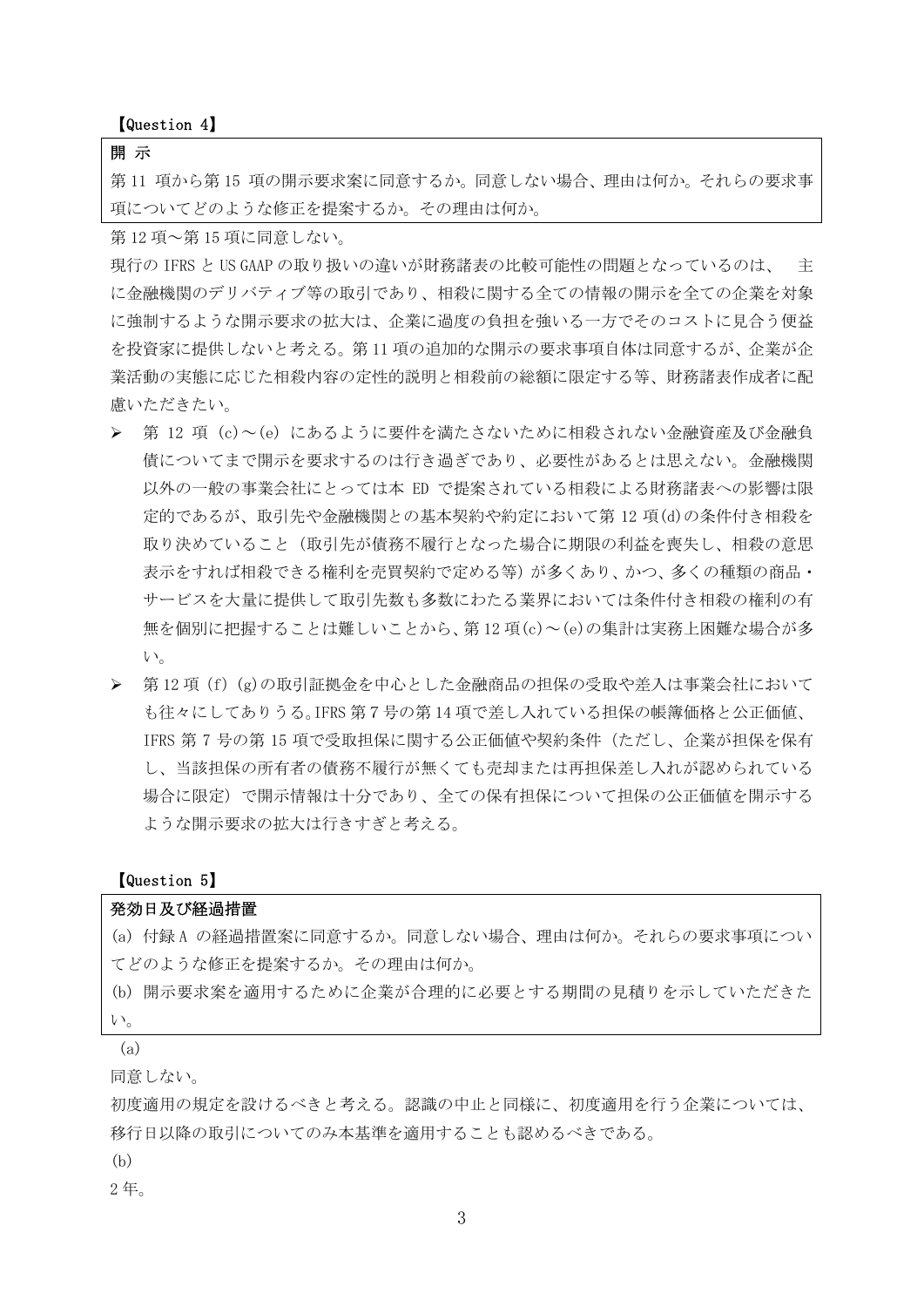【Question 4】

### 開 示

第 11 項から第 15 項の開示要求案に同意するか。同意しない場合、理由は何か。それらの要求事 項についてどのような修正を提案するか。その理由は何か。

第 12 項~第 15 項に同意しない。

現行の IFRS と US GAAP の取り扱いの違いが財務諸表の比較可能性の問題となっているのは、 主 に金融機関のデリバティブ等の取引であり、相殺に関する全ての情報の開示を全ての企業を対象 に強制するような開示要求の拡大は、企業に過度の負担を強いる一方でそのコストに見合う便益 を投資家に提供しないと考える。第 11 項の追加的な開示の要求事項自体は同意するが、企業が企 業活動の実態に応じた相殺内容の定性的説明と相殺前の総額に限定する等、財務諸表作成者に配 慮いただきたい。

- > 第 12 項 (c)~(e) にあるように要件を満たさないために相殺されない金融資産及び金融負 債についてまで開示を要求するのは行き過ぎであり、必要性があるとは思えない。金融機関 以外の一般の事業会社にとっては本 ED で提案されている相殺による財務諸表への影響は限 定的であるが、取引先や金融機関との基本契約や約定において第 12 項(d)の条件付き相殺を 取り決めていること(取引先が債務不履行となった場合に期限の利益を喪失し、相殺の意思 表示をすれば相殺できる権利を売買契約で定める等)が多くあり、かつ、多くの種類の商品・ サービスを大量に提供して取引先数も多数にわたる業界においては条件付き相殺の権利の有 無を個別に把握することは難しいことから、第 12 項(c)~(e)の集計は実務上困難な場合が多 い。
- ¾ 第 12 項(f)(g)の取引証拠金を中心とした金融商品の担保の受取や差入は事業会社において も往々にしてありうる。IFRS 第7号の第 14 項で差し入れている担保の帳簿価格と公正価値、 IFRS 第 7 号の第 15 項で受取担保に関する公正価値や契約条件(ただし、企業が担保を保有 し、当該担保の所有者の債務不履行が無くても売却または再担保差し入れが認められている 場合に限定)で開示情報は十分であり、全ての保有担保について担保の公正価値を開示する ような開示要求の拡大は行きすぎと考える。

### 【Question 5】

### 発効日及び経過措置

(a) 付録 A の経過措置案に同意するか。同意しない場合、理由は何か。それらの要求事項につい てどのような修正を提案するか。その理由は何か。

(b) 開示要求案を適用するために企業が合理的に必要とする期間の見積りを示していただきた い。

#### (a)

同意しない。

初度適用の規定を設けるべきと考える。認識の中止と同様に、初度適用を行う企業については、 移行日以降の取引についてのみ本基準を適用することも認めるべきである。

(b)

2 年。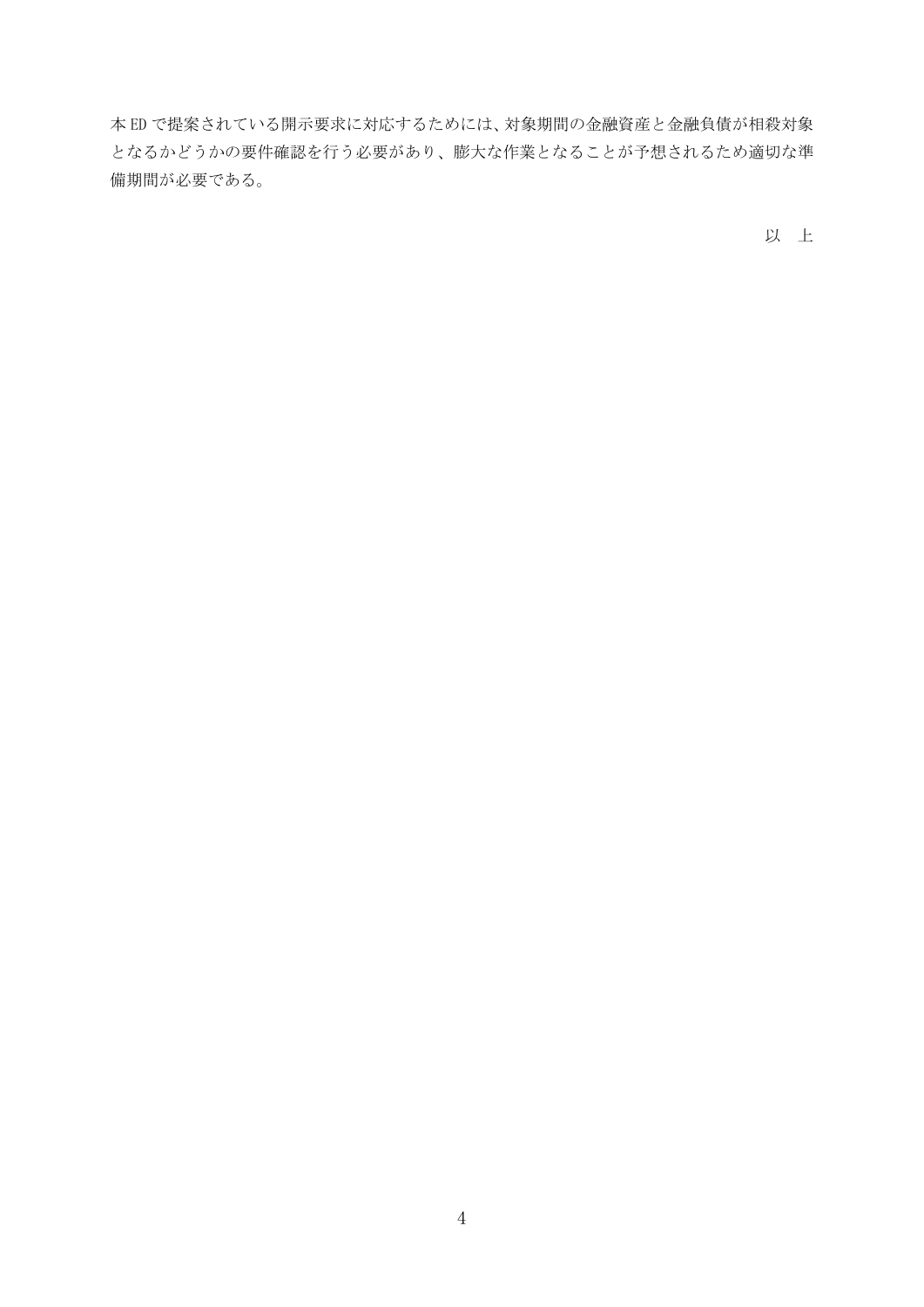本 ED で提案されている開示要求に対応するためには、対象期間の金融資産と金融負債が相殺対象 となるかどうかの要件確認を行う必要があり、膨大な作業となることが予想されるため適切な準 備期間が必要である。

以 上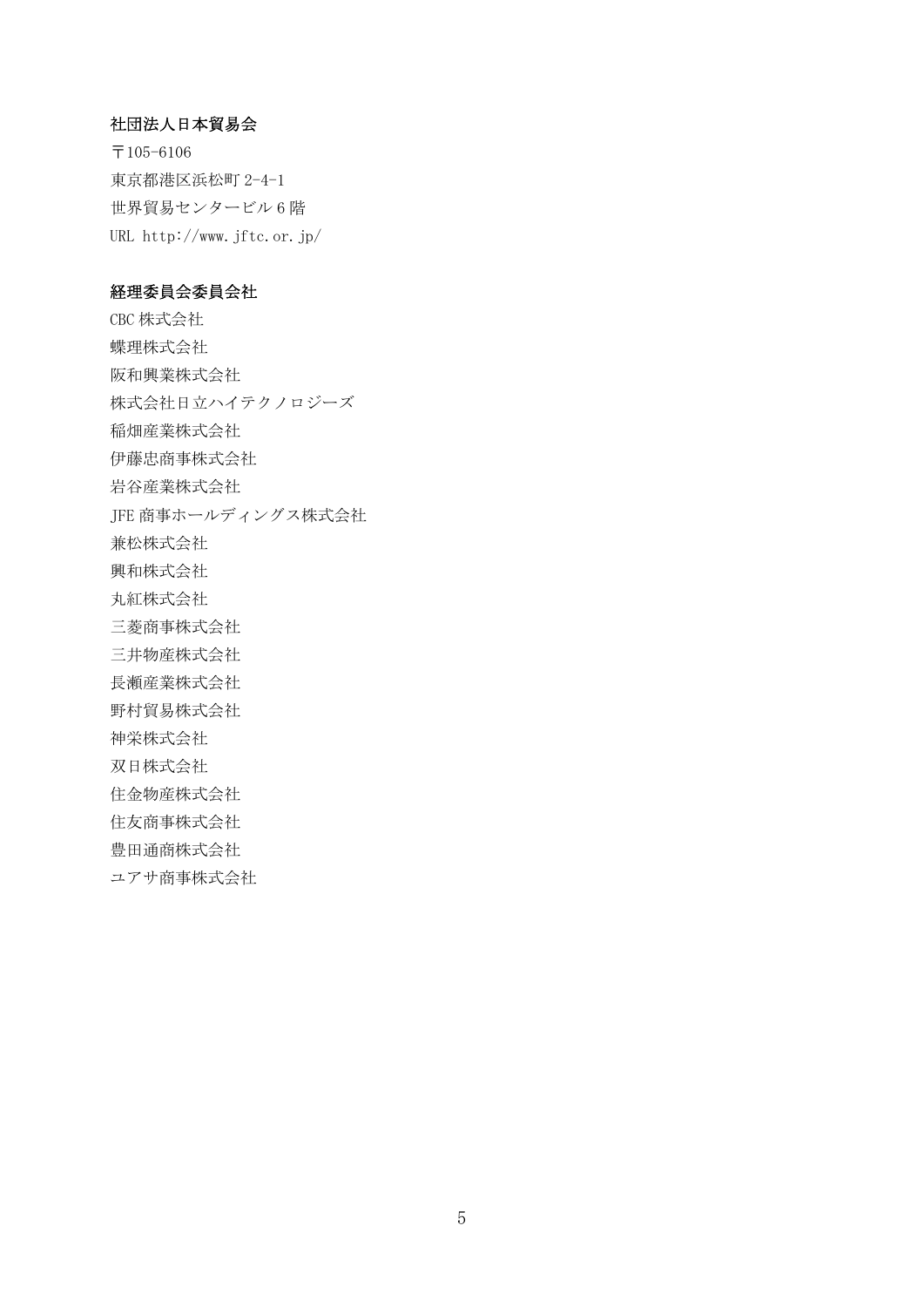## 社団法人日本貿易会

〒105-6106 東京都港区浜松町 2-4-1 世界貿易センタービル 6 階 URL http://www.jftc.or.jp/

## 経理委員会委員会社

CBC 株式会社 蝶理株式会社 阪和興業株式会社 株式会社日立ハイテクノロジーズ 稲畑産業株式会社 伊藤忠商事株式会社 岩谷産業株式会社 JFE 商事ホールディングス株式会社 兼松株式会社 興和株式会社 丸紅株式会社 三菱商事株式会社 三井物産株式会社 長瀬産業株式会社 野村貿易株式会社 神栄株式会社 双日株式会社 住金物産株式会社 住友商事株式会社 豊田通商株式会社

ユアサ商事株式会社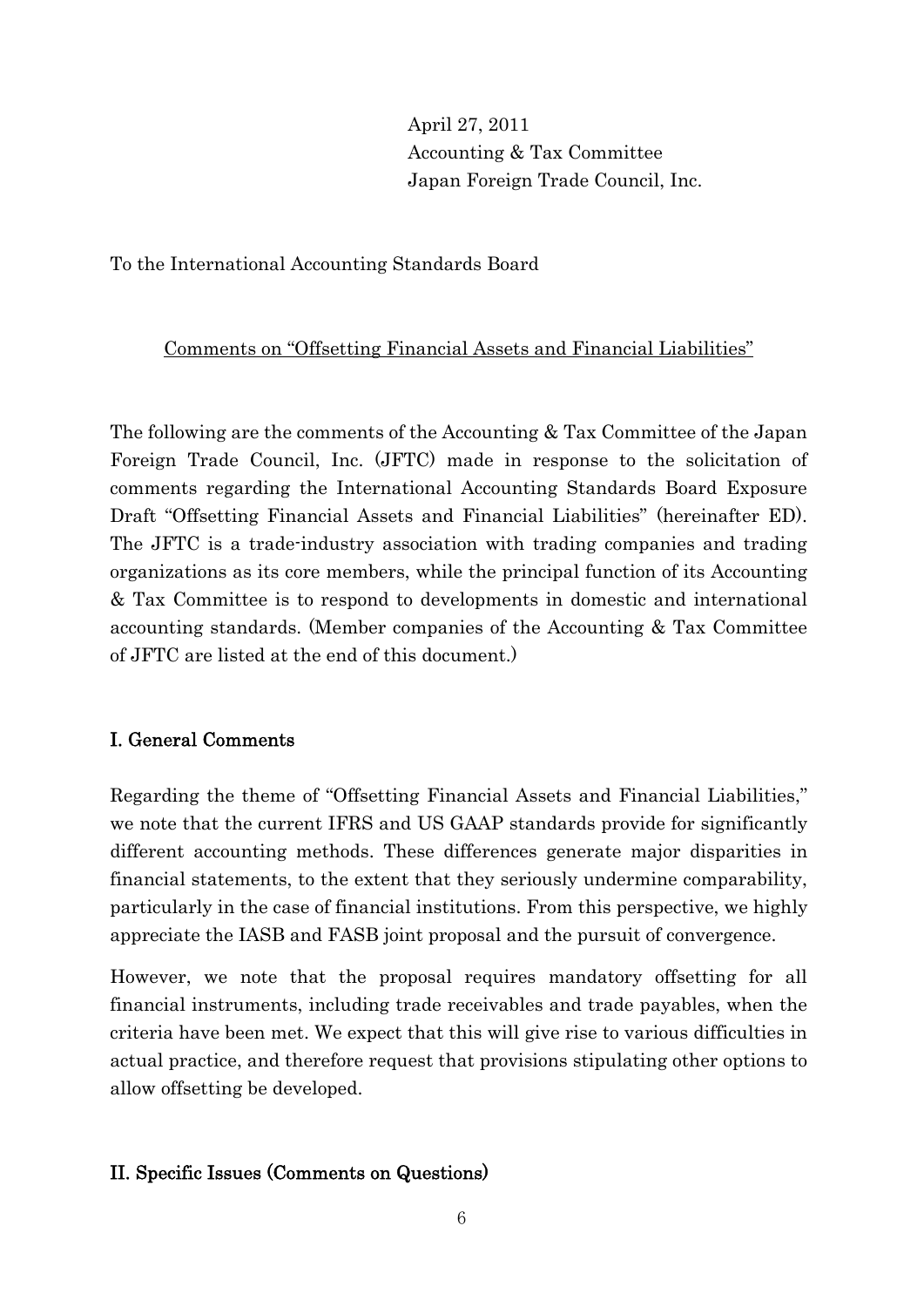# April 27, 2011 Accounting & Tax Committee Japan Foreign Trade Council, Inc.

To the International Accounting Standards Board

# Comments on "Offsetting Financial Assets and Financial Liabilities"

The following are the comments of the Accounting & Tax Committee of the Japan Foreign Trade Council, Inc. (JFTC) made in response to the solicitation of comments regarding the International Accounting Standards Board Exposure Draft "Offsetting Financial Assets and Financial Liabilities" (hereinafter ED). The JFTC is a trade-industry association with trading companies and trading organizations as its core members, while the principal function of its Accounting & Tax Committee is to respond to developments in domestic and international accounting standards. (Member companies of the Accounting & Tax Committee of JFTC are listed at the end of this document.)

# I. General Comments

Regarding the theme of "Offsetting Financial Assets and Financial Liabilities," we note that the current IFRS and US GAAP standards provide for significantly different accounting methods. These differences generate major disparities in financial statements, to the extent that they seriously undermine comparability, particularly in the case of financial institutions. From this perspective, we highly appreciate the IASB and FASB joint proposal and the pursuit of convergence.

However, we note that the proposal requires mandatory offsetting for all financial instruments, including trade receivables and trade payables, when the criteria have been met. We expect that this will give rise to various difficulties in actual practice, and therefore request that provisions stipulating other options to allow offsetting be developed.

# II. Specific Issues (Comments on Questions)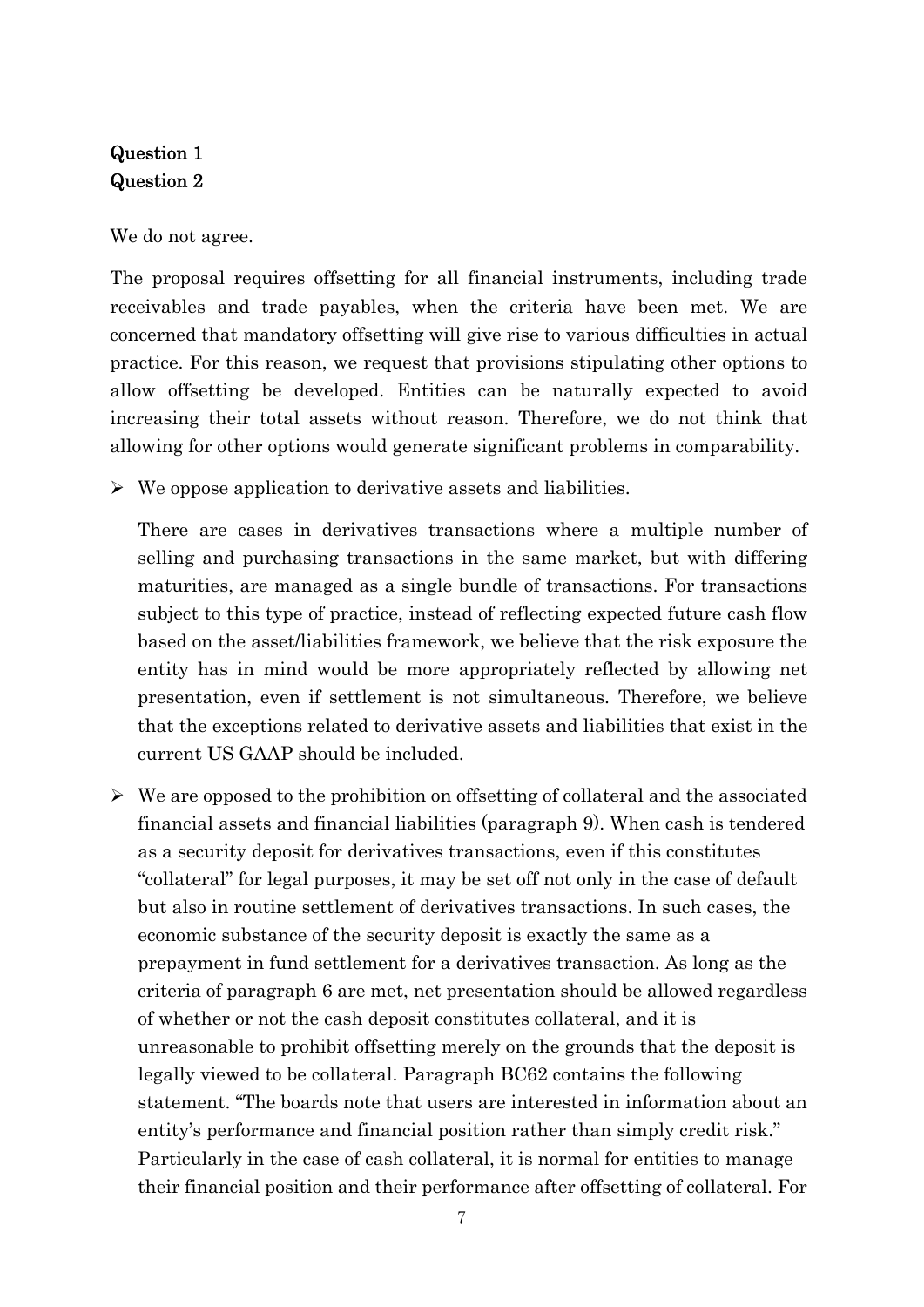# Question 1 Question 2

We do not agree.

The proposal requires offsetting for all financial instruments, including trade receivables and trade payables, when the criteria have been met. We are concerned that mandatory offsetting will give rise to various difficulties in actual practice. For this reason, we request that provisions stipulating other options to allow offsetting be developed. Entities can be naturally expected to avoid increasing their total assets without reason. Therefore, we do not think that allowing for other options would generate significant problems in comparability.

 $\triangleright$  We oppose application to derivative assets and liabilities.

 There are cases in derivatives transactions where a multiple number of selling and purchasing transactions in the same market, but with differing maturities, are managed as a single bundle of transactions. For transactions subject to this type of practice, instead of reflecting expected future cash flow based on the asset/liabilities framework, we believe that the risk exposure the entity has in mind would be more appropriately reflected by allowing net presentation, even if settlement is not simultaneous. Therefore, we believe that the exceptions related to derivative assets and liabilities that exist in the current US GAAP should be included.

 $\triangleright$  We are opposed to the prohibition on offsetting of collateral and the associated financial assets and financial liabilities (paragraph 9). When cash is tendered as a security deposit for derivatives transactions, even if this constitutes "collateral" for legal purposes, it may be set off not only in the case of default but also in routine settlement of derivatives transactions. In such cases, the economic substance of the security deposit is exactly the same as a prepayment in fund settlement for a derivatives transaction. As long as the criteria of paragraph 6 are met, net presentation should be allowed regardless of whether or not the cash deposit constitutes collateral, and it is unreasonable to prohibit offsetting merely on the grounds that the deposit is legally viewed to be collateral. Paragraph BC62 contains the following statement. "The boards note that users are interested in information about an entity's performance and financial position rather than simply credit risk." Particularly in the case of cash collateral, it is normal for entities to manage their financial position and their performance after offsetting of collateral. For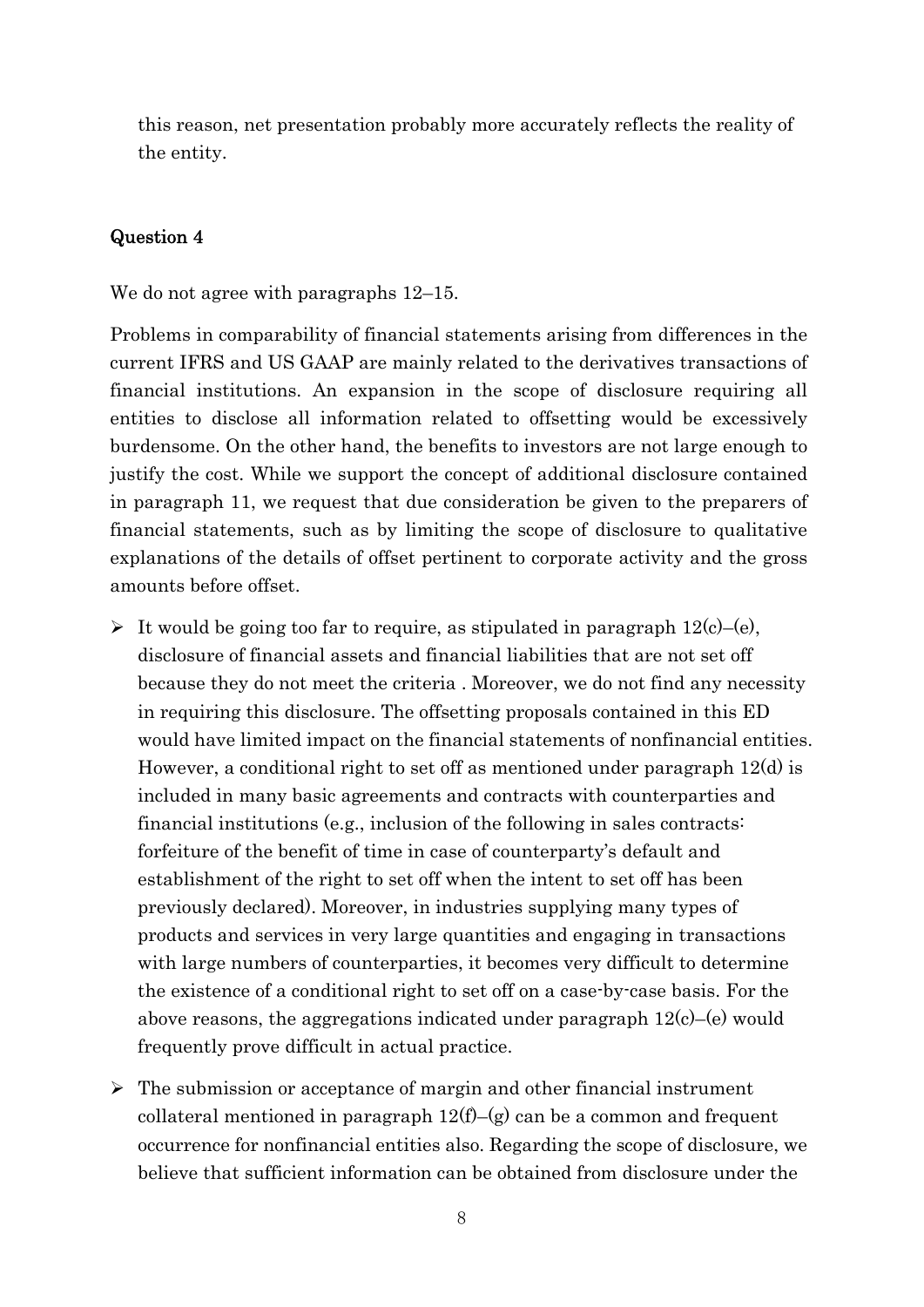this reason, net presentation probably more accurately reflects the reality of the entity.

# Question 4

We do not agree with paragraphs  $12-15$ .

Problems in comparability of financial statements arising from differences in the current IFRS and US GAAP are mainly related to the derivatives transactions of financial institutions. An expansion in the scope of disclosure requiring all entities to disclose all information related to offsetting would be excessively burdensome. On the other hand, the benefits to investors are not large enough to justify the cost. While we support the concept of additional disclosure contained in paragraph 11, we request that due consideration be given to the preparers of financial statements, such as by limiting the scope of disclosure to qualitative explanations of the details of offset pertinent to corporate activity and the gross amounts before offset.

- $\triangleright$  It would be going too far to require, as stipulated in paragraph 12(c)–(e), disclosure of financial assets and financial liabilities that are not set off because they do not meet the criteria . Moreover, we do not find any necessity in requiring this disclosure. The offsetting proposals contained in this ED would have limited impact on the financial statements of nonfinancial entities. However, a conditional right to set off as mentioned under paragraph 12(d) is included in many basic agreements and contracts with counterparties and financial institutions (e.g., inclusion of the following in sales contracts: forfeiture of the benefit of time in case of counterparty's default and establishment of the right to set off when the intent to set off has been previously declared). Moreover, in industries supplying many types of products and services in very large quantities and engaging in transactions with large numbers of counterparties, it becomes very difficult to determine the existence of a conditional right to set off on a case-by-case basis. For the above reasons, the aggregations indicated under paragraph  $12(c)$ –(e) would frequently prove difficult in actual practice.
- $\triangleright$  The submission or acceptance of margin and other financial instrument collateral mentioned in paragraph  $12(f)$ –(g) can be a common and frequent occurrence for nonfinancial entities also. Regarding the scope of disclosure, we believe that sufficient information can be obtained from disclosure under the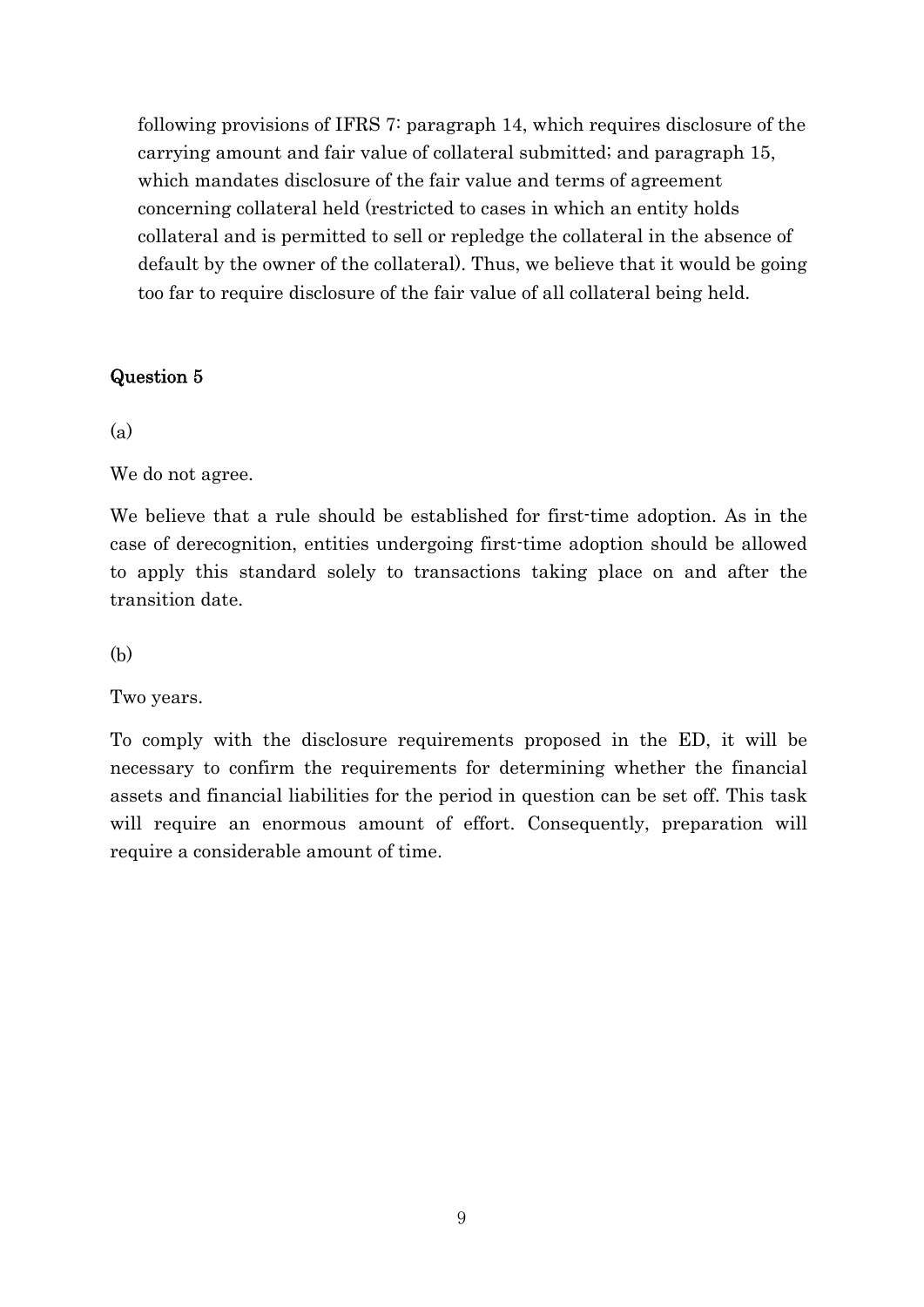following provisions of IFRS 7: paragraph 14, which requires disclosure of the carrying amount and fair value of collateral submitted; and paragraph 15, which mandates disclosure of the fair value and terms of agreement concerning collateral held (restricted to cases in which an entity holds collateral and is permitted to sell or repledge the collateral in the absence of default by the owner of the collateral). Thus, we believe that it would be going too far to require disclosure of the fair value of all collateral being held.

## Question 5

## (a)

We do not agree.

We believe that a rule should be established for first-time adoption. As in the case of derecognition, entities undergoing first-time adoption should be allowed to apply this standard solely to transactions taking place on and after the transition date.

(b)

Two years.

To comply with the disclosure requirements proposed in the ED, it will be necessary to confirm the requirements for determining whether the financial assets and financial liabilities for the period in question can be set off. This task will require an enormous amount of effort. Consequently, preparation will require a considerable amount of time.